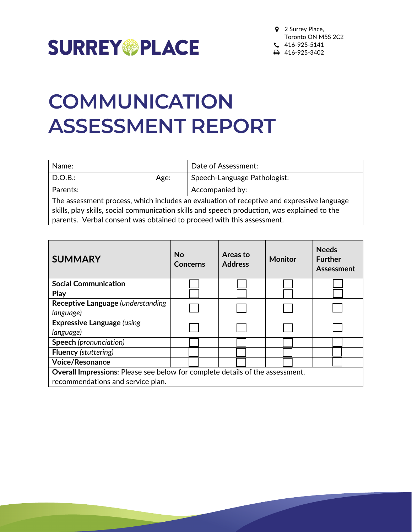

## **COMMUNICATION ASSESSMENT REPORT**

| Name:                                                                                     |      | Date of Assessment:          |
|-------------------------------------------------------------------------------------------|------|------------------------------|
| $\mid$ D.O.B.:                                                                            | Age: | Speech-Language Pathologist: |
| <b>Parents:</b>                                                                           |      | Accompanied by:              |
| The assessment process, which includes an evaluation of receptive and expressive language |      |                              |

skills, play skills, social communication skills and speech production, was explained to the parents. Verbal consent was obtained to proceed with this assessment.

| <b>SUMMARY</b>                                                                | No<br>Concerns | Areas to<br><b>Address</b> | <b>Monitor</b> | <b>Needs</b><br><b>Further</b><br>Assessment |
|-------------------------------------------------------------------------------|----------------|----------------------------|----------------|----------------------------------------------|
| <b>Social Communication</b>                                                   |                |                            |                |                                              |
| Play                                                                          |                |                            |                |                                              |
| Receptive Language (understanding                                             |                |                            |                |                                              |
| language)                                                                     |                |                            |                |                                              |
| <b>Expressive Language (using</b>                                             |                |                            |                |                                              |
| language)                                                                     |                |                            |                |                                              |
| <b>Speech</b> (pronunciation)                                                 |                |                            |                |                                              |
| <b>Fluency</b> (stuttering)                                                   |                |                            |                |                                              |
| <b>Voice/Resonance</b>                                                        |                |                            |                |                                              |
| Overall Impressions: Please see below for complete details of the assessment, |                |                            |                |                                              |
| recommendations and service plan.                                             |                |                            |                |                                              |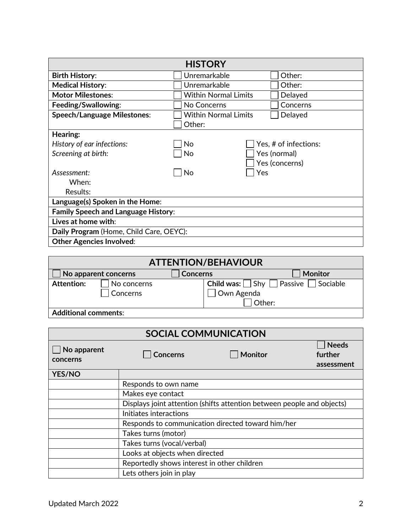| <b>HISTORY</b>                             |                             |                       |  |  |
|--------------------------------------------|-----------------------------|-----------------------|--|--|
| <b>Birth History:</b>                      | Unremarkable                | Other:                |  |  |
| <b>Medical History:</b>                    | Unremarkable                | Other:                |  |  |
| <b>Motor Milestones:</b>                   | <b>Within Normal Limits</b> | Delayed               |  |  |
| Feeding/Swallowing:                        | No Concerns                 | Concerns              |  |  |
| <b>Speech/Language Milestones:</b>         | <b>Within Normal Limits</b> | Delayed               |  |  |
|                                            | Other:                      |                       |  |  |
| Hearing:                                   |                             |                       |  |  |
| History of ear infections:                 | No                          | Yes, # of infections: |  |  |
| Screening at birth:                        | No                          | Yes (normal)          |  |  |
|                                            |                             | Yes (concerns)        |  |  |
| Assessment:                                | No                          | Yes                   |  |  |
| When:                                      |                             |                       |  |  |
| Results:                                   |                             |                       |  |  |
| Language(s) Spoken in the Home:            |                             |                       |  |  |
| <b>Family Speech and Language History:</b> |                             |                       |  |  |
| Lives at home with:                        |                             |                       |  |  |
| Daily Program (Home, Child Care, OEYC):    |                             |                       |  |  |
| <b>Other Agencies Involved:</b>            |                             |                       |  |  |

| <b>ATTENTION/BEHAVIOUR</b>                                |                         |              |                                                             |  |
|-----------------------------------------------------------|-------------------------|--------------|-------------------------------------------------------------|--|
| No apparent concerns<br><b>Monitor</b><br><b>Concerns</b> |                         |              |                                                             |  |
| <b>Attention:</b>                                         | No concerns<br>Concerns | 7 Own Agenda | <b>Child was:</b> $\Box$ Shy $\Box$ Passive $\Box$ Sociable |  |
| Other:                                                    |                         |              |                                                             |  |
| <b>Additional comments:</b>                               |                         |              |                                                             |  |

| <b>SOCIAL COMMUNICATION</b> |                                                                        |                |                                       |
|-----------------------------|------------------------------------------------------------------------|----------------|---------------------------------------|
| No apparent<br>concerns     | <b>Concerns</b>                                                        | <b>Monitor</b> | <b>Needs</b><br>further<br>assessment |
| <b>YES/NO</b>               |                                                                        |                |                                       |
|                             | Responds to own name                                                   |                |                                       |
|                             | Makes eye contact                                                      |                |                                       |
|                             | Displays joint attention (shifts attention between people and objects) |                |                                       |
|                             | Initiates interactions                                                 |                |                                       |
|                             | Responds to communication directed toward him/her                      |                |                                       |
|                             | Takes turns (motor)                                                    |                |                                       |
|                             | Takes turns (vocal/verbal)                                             |                |                                       |
|                             | Looks at objects when directed                                         |                |                                       |
|                             | Reportedly shows interest in other children                            |                |                                       |
|                             | Lets others join in play                                               |                |                                       |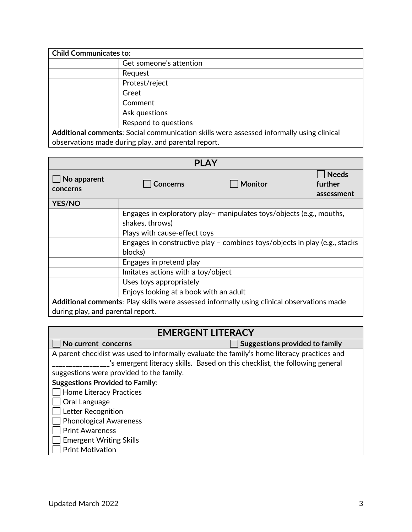| <b>Child Communicates to:</b>                                                            |                         |  |
|------------------------------------------------------------------------------------------|-------------------------|--|
|                                                                                          | Get someone's attention |  |
|                                                                                          | Request                 |  |
|                                                                                          | Protest/reject          |  |
|                                                                                          | Greet                   |  |
|                                                                                          | Comment                 |  |
|                                                                                          | Ask questions           |  |
|                                                                                          | Respond to questions    |  |
| Additional comments: Social communication skills were assessed informally using clinical |                         |  |
| observations made during play, and parental report.                                      |                         |  |

| <b>PLAY</b>                                                                                |                                        |                                                                            |                                       |
|--------------------------------------------------------------------------------------------|----------------------------------------|----------------------------------------------------------------------------|---------------------------------------|
| No apparent<br>concerns                                                                    | <b>Concerns</b>                        | <b>Monitor</b>                                                             | <b>Needs</b><br>further<br>assessment |
| <b>YES/NO</b>                                                                              |                                        |                                                                            |                                       |
|                                                                                            | shakes, throws)                        | Engages in exploratory play – manipulates toys/objects (e.g., mouths,      |                                       |
|                                                                                            | Plays with cause-effect toys           |                                                                            |                                       |
|                                                                                            | blocks)                                | Engages in constructive play - combines toys/objects in play (e.g., stacks |                                       |
|                                                                                            | Engages in pretend play                |                                                                            |                                       |
|                                                                                            | Imitates actions with a toy/object     |                                                                            |                                       |
|                                                                                            | Uses toys appropriately                |                                                                            |                                       |
|                                                                                            | Enjoys looking at a book with an adult |                                                                            |                                       |
| Additional comments: Play skills were assessed informally using clinical observations made |                                        |                                                                            |                                       |
| during play, and parental report.                                                          |                                        |                                                                            |                                       |

| <b>EMERGENT LITERACY</b>                                                                    |                                       |  |
|---------------------------------------------------------------------------------------------|---------------------------------------|--|
| No current concerns                                                                         | <b>Suggestions provided to family</b> |  |
| A parent checklist was used to informally evaluate the family's home literacy practices and |                                       |  |
| 's emergent literacy skills. Based on this checklist, the following general                 |                                       |  |
| suggestions were provided to the family.                                                    |                                       |  |
| <b>Suggestions Provided to Family:</b>                                                      |                                       |  |
| <b>Home Literacy Practices</b>                                                              |                                       |  |
| Oral Language                                                                               |                                       |  |
| Letter Recognition                                                                          |                                       |  |
| <b>Phonological Awareness</b>                                                               |                                       |  |
| <b>Print Awareness</b>                                                                      |                                       |  |
| <b>Emergent Writing Skills</b>                                                              |                                       |  |
| <b>Print Motivation</b>                                                                     |                                       |  |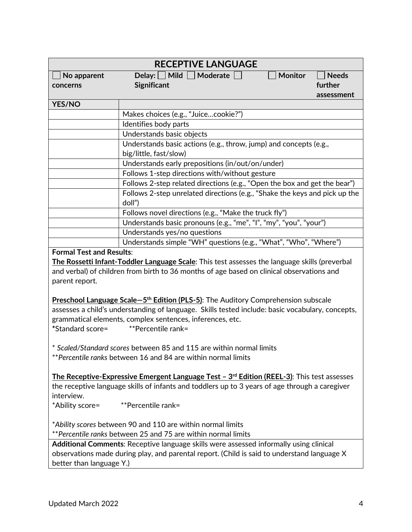|                                                                                             | <b>RECEPTIVE LANGUAGE</b>                                                                        |              |  |
|---------------------------------------------------------------------------------------------|--------------------------------------------------------------------------------------------------|--------------|--|
| No apparent                                                                                 | Delay: $\Box$ Mild $\Box$ Moderate<br>Monitor                                                    | <b>Needs</b> |  |
| concerns                                                                                    | Significant                                                                                      | further      |  |
|                                                                                             |                                                                                                  | assessment   |  |
| <b>YES/NO</b>                                                                               |                                                                                                  |              |  |
|                                                                                             | Makes choices (e.g., "Juicecookie?")                                                             |              |  |
|                                                                                             | Identifies body parts                                                                            |              |  |
|                                                                                             | Understands basic objects                                                                        |              |  |
|                                                                                             | Understands basic actions (e.g., throw, jump) and concepts (e.g.,                                |              |  |
|                                                                                             | big/little, fast/slow)                                                                           |              |  |
|                                                                                             | Understands early prepositions (in/out/on/under)                                                 |              |  |
|                                                                                             | Follows 1-step directions with/without gesture                                                   |              |  |
|                                                                                             | Follows 2-step related directions (e.g., "Open the box and get the bear")                        |              |  |
|                                                                                             | Follows 2-step unrelated directions (e.g., "Shake the keys and pick up the<br>doll")             |              |  |
|                                                                                             | Follows novel directions (e.g., "Make the truck fly")                                            |              |  |
|                                                                                             | Understands basic pronouns (e.g., "me", "I", "my", "you", "your")                                |              |  |
|                                                                                             | Understands yes/no questions                                                                     |              |  |
|                                                                                             | Understands simple "WH" questions (e.g., "What", "Who", "Where")                                 |              |  |
| <b>Formal Test and Results:</b>                                                             |                                                                                                  |              |  |
|                                                                                             | The Rossetti Infant-Toddler Language Scale: This test assesses the language skills (preverbal    |              |  |
| and verbal) of children from birth to 36 months of age based on clinical observations and   |                                                                                                  |              |  |
| parent report.                                                                              |                                                                                                  |              |  |
|                                                                                             |                                                                                                  |              |  |
|                                                                                             | Preschool Language Scale-5 <sup>th</sup> Edition (PLS-5): The Auditory Comprehension subscale    |              |  |
|                                                                                             | assesses a child's understanding of language. Skills tested include: basic vocabulary, concepts, |              |  |
| grammatical elements, complex sentences, inferences, etc.                                   |                                                                                                  |              |  |
| *Standard score=<br>**Percentile rank=                                                      |                                                                                                  |              |  |
|                                                                                             |                                                                                                  |              |  |
|                                                                                             | * Scaled/Standard scores between 85 and 115 are within normal limits                             |              |  |
|                                                                                             | ** Percentile ranks between 16 and 84 are within normal limits                                   |              |  |
|                                                                                             |                                                                                                  |              |  |
|                                                                                             | The Receptive-Expressive Emergent Language Test $-3^{rd}$ Edition (REEL-3): This test assesses   |              |  |
|                                                                                             | the receptive language skills of infants and toddlers up to 3 years of age through a caregiver   |              |  |
| interview.                                                                                  |                                                                                                  |              |  |
| *Ability score=                                                                             | **Percentile rank=                                                                               |              |  |
|                                                                                             |                                                                                                  |              |  |
| *Ability scores between 90 and 110 are within normal limits                                 |                                                                                                  |              |  |
|                                                                                             | **Percentile ranks between 25 and 75 are within normal limits                                    |              |  |
|                                                                                             | Additional Comments: Receptive language skills were assessed informally using clinical           |              |  |
| observations made during play, and parental report. (Child is said to understand language X |                                                                                                  |              |  |
| better than language Y.)                                                                    |                                                                                                  |              |  |
|                                                                                             |                                                                                                  |              |  |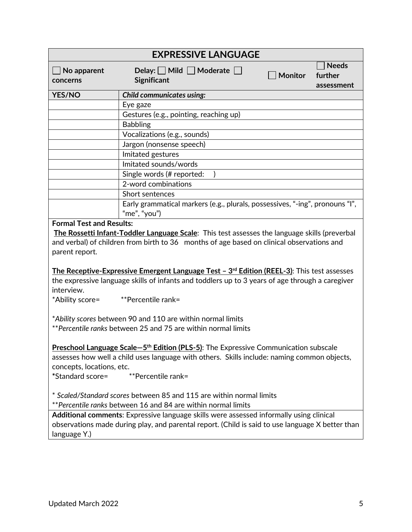|                                                   | <b>EXPRESSIVE LANGUAGE</b>                                                                                                                                                                                              |         |                                       |
|---------------------------------------------------|-------------------------------------------------------------------------------------------------------------------------------------------------------------------------------------------------------------------------|---------|---------------------------------------|
| No apparent<br>concerns                           | Delay: $\Box$ Mild $\Box$ Moderate $\Box$<br>Significant                                                                                                                                                                | Monitor | <b>Needs</b><br>further<br>assessment |
| YES/NO                                            | <b>Child communicates using:</b>                                                                                                                                                                                        |         |                                       |
|                                                   | Eye gaze                                                                                                                                                                                                                |         |                                       |
|                                                   | Gestures (e.g., pointing, reaching up)                                                                                                                                                                                  |         |                                       |
|                                                   | <b>Babbling</b>                                                                                                                                                                                                         |         |                                       |
|                                                   | Vocalizations (e.g., sounds)                                                                                                                                                                                            |         |                                       |
|                                                   | Jargon (nonsense speech)                                                                                                                                                                                                |         |                                       |
|                                                   | Imitated gestures                                                                                                                                                                                                       |         |                                       |
|                                                   | Imitated sounds/words                                                                                                                                                                                                   |         |                                       |
|                                                   | Single words (# reported:                                                                                                                                                                                               |         |                                       |
|                                                   | 2-word combinations                                                                                                                                                                                                     |         |                                       |
|                                                   | Short sentences                                                                                                                                                                                                         |         |                                       |
|                                                   | Early grammatical markers (e.g., plurals, possessives, "-ing", pronouns "I",                                                                                                                                            |         |                                       |
|                                                   | "me", "you")                                                                                                                                                                                                            |         |                                       |
| <b>Formal Test and Results:</b><br>parent report. | The Rossetti Infant-Toddler Language Scale: This test assesses the language skills (preverbal<br>and verbal) of children from birth to 36 months of age based on clinical observations and                              |         |                                       |
| interview.<br>*Ability score=                     | The Receptive-Expressive Emergent Language Test $-3^{rd}$ Edition (REEL-3): This test assesses<br>the expressive language skills of infants and toddlers up to 3 years of age through a caregiver<br>**Percentile rank= |         |                                       |
|                                                   | *Ability scores between 90 and 110 are within normal limits<br>**Percentile ranks between 25 and 75 are within normal limits                                                                                            |         |                                       |
| concepts, locations, etc.<br>*Standard score=     | Preschool Language Scale-5 <sup>th</sup> Edition (PLS-5): The Expressive Communication subscale<br>assesses how well a child uses language with others. Skills include: naming common objects,<br>**Percentile rank=    |         |                                       |
|                                                   | * Scaled/Standard scores between 85 and 115 are within normal limits<br>**Percentile ranks between 16 and 84 are within normal limits                                                                                   |         |                                       |
| language Y.)                                      | Additional comments: Expressive language skills were assessed informally using clinical<br>observations made during play, and parental report. (Child is said to use language X better than                             |         |                                       |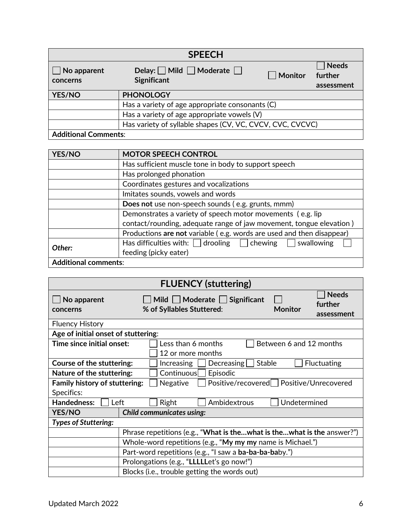| <b>SPEECH</b>                                             |                                                                 |         |                                       |  |
|-----------------------------------------------------------|-----------------------------------------------------------------|---------|---------------------------------------|--|
| $\vert$ No apparent<br>concerns                           | Delay: $\Box$ Mild $\Box$ Moderate $\Box$<br><b>Significant</b> | Monitor | <b>Needs</b><br>further<br>assessment |  |
| YES/NO                                                    | <b>PHONOLOGY</b>                                                |         |                                       |  |
|                                                           | Has a variety of age appropriate consonants (C)                 |         |                                       |  |
|                                                           | Has a variety of age appropriate vowels (V)                     |         |                                       |  |
| Has variety of syllable shapes (CV, VC, CVCV, CVC, CVCVC) |                                                                 |         |                                       |  |
| <b>Additional Comments:</b>                               |                                                                 |         |                                       |  |

| <b>YES/NO</b>               | <b>MOTOR SPEECH CONTROL</b>                                           |
|-----------------------------|-----------------------------------------------------------------------|
|                             | Has sufficient muscle tone in body to support speech                  |
|                             | Has prolonged phonation                                               |
|                             | Coordinates gestures and vocalizations                                |
|                             | Imitates sounds, vowels and words                                     |
|                             | Does not use non-speech sounds (e.g. grunts, mmm)                     |
|                             | Demonstrates a variety of speech motor movements (e.g. lip            |
|                             | contact/rounding, adequate range of jaw movement, tongue elevation)   |
|                             | Productions are not variable (e.g. words are used and then disappear) |
| Other:                      | Has difficulties with: $\Box$ drooling $\Box$ chewing<br>swallowing   |
|                             | feeding (picky eater)                                                 |
| <b>Additional comments:</b> |                                                                       |

| <b>FLUENCY (stuttering)</b>                                                                           |                                                                        |                |                                       |  |
|-------------------------------------------------------------------------------------------------------|------------------------------------------------------------------------|----------------|---------------------------------------|--|
| No apparent<br>concerns                                                                               | Mild     Moderate  <br>Significant<br>% of Syllables Stuttered:        | <b>Monitor</b> | <b>Needs</b><br>further<br>assessment |  |
| <b>Fluency History</b>                                                                                |                                                                        |                |                                       |  |
| Age of initial onset of stuttering:                                                                   |                                                                        |                |                                       |  |
| Time since initial onset:<br>Less than 6 months<br>Between 6 and 12 months                            |                                                                        |                |                                       |  |
| 12 or more months                                                                                     |                                                                        |                |                                       |  |
| Course of the stuttering:<br>$\Delta$ Decreasing<br><b>Stable</b><br><b>Fluctuating</b><br>Increasing |                                                                        |                |                                       |  |
| Episodic<br>Nature of the stuttering:<br>Continuous                                                   |                                                                        |                |                                       |  |
| Positive/recovered Positive/Unrecovered<br>Negative<br><b>Family history of stuttering:</b>           |                                                                        |                |                                       |  |
| Specifics:                                                                                            |                                                                        |                |                                       |  |
| Right<br>Ambidextrous<br><b>Handedness:</b><br>Undetermined<br>Left                                   |                                                                        |                |                                       |  |
| <b>YES/NO</b>                                                                                         | <b>Child communicates using:</b>                                       |                |                                       |  |
| <b>Types of Stuttering:</b>                                                                           |                                                                        |                |                                       |  |
|                                                                                                       | Phrase repetitions (e.g., "What is thewhat is thewhat is the answer?") |                |                                       |  |
| Whole-word repetitions (e.g., "My my my name is Michael.")                                            |                                                                        |                |                                       |  |
| Part-word repetitions (e.g., "I saw a ba-ba-ba-baby.")                                                |                                                                        |                |                                       |  |
| Prolongations (e.g., "LLLLLet's go now!")                                                             |                                                                        |                |                                       |  |
|                                                                                                       | Blocks (i.e., trouble getting the words out)                           |                |                                       |  |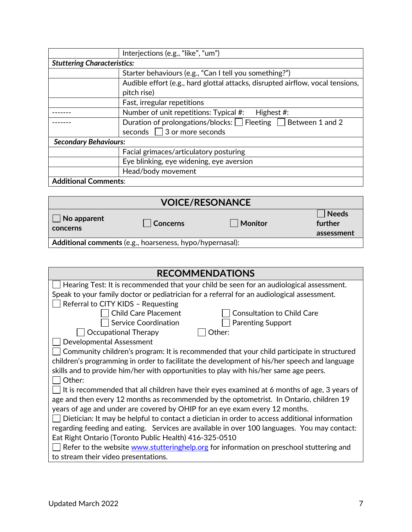|                                    | Interjections (e.g., "like", "um")                                             |  |  |
|------------------------------------|--------------------------------------------------------------------------------|--|--|
| <b>Stuttering Characteristics:</b> |                                                                                |  |  |
|                                    | Starter behaviours (e.g., "Can I tell you something?")                         |  |  |
|                                    | Audible effort (e.g., hard glottal attacks, disrupted airflow, vocal tensions, |  |  |
|                                    | pitch rise)                                                                    |  |  |
|                                    | Fast, irregular repetitions                                                    |  |  |
|                                    | Number of unit repetitions: Typical #:<br>Highest #:                           |  |  |
|                                    | Duration of prolongations/blocks: $\Box$ Fleeting $\Box$ Between 1 and 2       |  |  |
|                                    | seconds $\Box$ 3 or more seconds                                               |  |  |
| <b>Secondary Behaviours:</b>       |                                                                                |  |  |
|                                    | Facial grimaces/articulatory posturing                                         |  |  |
|                                    | Eye blinking, eye widening, eye aversion                                       |  |  |
|                                    | Head/body movement                                                             |  |  |
| <b>Additional Comments:</b>        |                                                                                |  |  |

| <b>VOICE/RESONANCE</b>                                   |          |         |                                       |
|----------------------------------------------------------|----------|---------|---------------------------------------|
| $\vert$ No apparent<br>concerns                          | Concerns | Monitor | <b>Needs</b><br>further<br>assessment |
| Additional comments (e.g., hoarseness, hypo/hypernasal): |          |         |                                       |

| <b>RECOMMENDATIONS</b>                                                                        |  |  |
|-----------------------------------------------------------------------------------------------|--|--|
| Hearing Test: It is recommended that your child be seen for an audiological assessment.       |  |  |
| Speak to your family doctor or pediatrician for a referral for an audiological assessment.    |  |  |
| Referral to CITY KIDS - Requesting                                                            |  |  |
| <b>Child Care Placement</b><br><b>Consultation to Child Care</b>                              |  |  |
| <b>Service Coordination</b><br><b>Parenting Support</b>                                       |  |  |
| Occupational Therapy<br>Other:                                                                |  |  |
| Developmental Assessment                                                                      |  |  |
| Community children's program: It is recommended that your child participate in structured     |  |  |
| children's programming in order to facilitate the development of his/her speech and language  |  |  |
| skills and to provide him/her with opportunities to play with his/her same age peers.         |  |  |
| Other:                                                                                        |  |  |
| It is recommended that all children have their eyes examined at 6 months of age, 3 years of   |  |  |
| age and then every 12 months as recommended by the optometrist. In Ontario, children 19       |  |  |
| years of age and under are covered by OHIP for an eye exam every 12 months.                   |  |  |
| Dietician: It may be helpful to contact a dietician in order to access additional information |  |  |
| regarding feeding and eating. Services are available in over 100 languages. You may contact:  |  |  |
| Eat Right Ontario (Toronto Public Health) 416-325-0510                                        |  |  |
| Refer to the website www.stutteringhelp.org for information on preschool stuttering and       |  |  |
| to stream their video presentations.                                                          |  |  |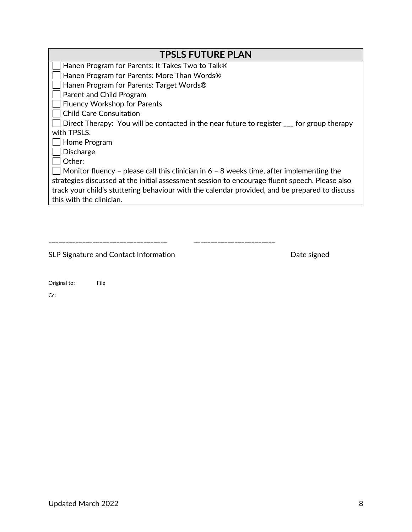| <b>TPSLS FUTURE PLAN</b>                                                                               |  |  |
|--------------------------------------------------------------------------------------------------------|--|--|
| Hanen Program for Parents: It Takes Two to Talk®                                                       |  |  |
| Hanen Program for Parents: More Than Words®                                                            |  |  |
| Hanen Program for Parents: Target Words®                                                               |  |  |
| Parent and Child Program                                                                               |  |  |
| <b>Fluency Workshop for Parents</b>                                                                    |  |  |
| <b>Child Care Consultation</b>                                                                         |  |  |
| Direct Therapy: You will be contacted in the near future to register <sub>come</sub> for group therapy |  |  |
| with TPSLS.                                                                                            |  |  |
| Home Program                                                                                           |  |  |
| <b>Discharge</b>                                                                                       |  |  |
| Other:                                                                                                 |  |  |
| Monitor fluency - please call this clinician in $6 - 8$ weeks time, after implementing the             |  |  |
| strategies discussed at the initial assessment session to encourage fluent speech. Please also         |  |  |
| track your child's stuttering behaviour with the calendar provided, and be prepared to discuss         |  |  |
| this with the clinician.                                                                               |  |  |
|                                                                                                        |  |  |

| and the contract of the contract of the contract of the contract of the contract of the contract of the contract of |  |
|---------------------------------------------------------------------------------------------------------------------|--|

SLP Signature and Contact Information and Contact Information Date signed

| Original to: | File |
|--------------|------|
|--------------|------|

Cc: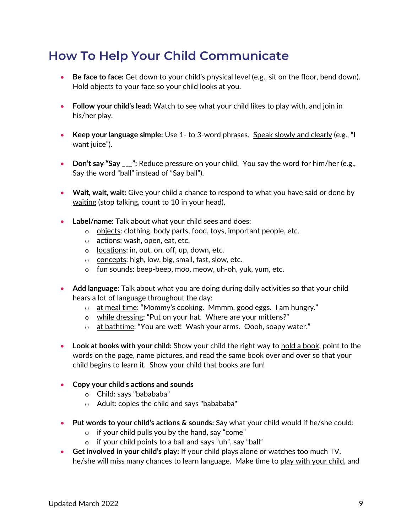## **How To Help Your Child Communicate**

- **Be face to face:** Get down to your child's physical level (e.g., sit on the floor, bend down). Hold objects to your face so your child looks at you.
- **Follow your child's lead:** Watch to see what your child likes to play with, and join in his/her play.
- Keep your language simple: Use 1- to 3-word phrases. Speak slowly and clearly (e.g., "I want juice").
- **Don't say "Say \_\_\_":** Reduce pressure on your child. You say the word for him/her (e.g., Say the word "ball" instead of "Say ball").
- **Wait, wait, wait:** Give your child a chance to respond to what you have said or done by waiting (stop talking, count to 10 in your head).
- **Label/name:** Talk about what your child sees and does:
	- o objects: clothing, body parts, food, toys, important people, etc.
	- o actions: wash, open, eat, etc.
	- o locations: in, out, on, off, up, down, etc.
	- o concepts: high, low, big, small, fast, slow, etc.
	- o fun sounds: beep-beep, moo, meow, uh-oh, yuk, yum, etc.
- **Add language:** Talk about what you are doing during daily activities so that your child hears a lot of language throughout the day:
	- o at meal time: "Mommy's cooking. Mmmm, good eggs. I am hungry."
	- o while dressing: "Put on your hat. Where are your mittens?"
	- o at bathtime: "You are wet! Wash your arms. Oooh, soapy water."
- Look at books with your child: Show your child the right way to hold a book, point to the words on the page, name pictures, and read the same book over and over so that your child begins to learn it. Show your child that books are fun!
- **Copy your child's actions and sounds**
	- o Child: says "babababa"
	- o Adult: copies the child and says "babababa"
- **Put words to your child's actions & sounds:** Say what your child would if he/she could:
	- $\circ$  if your child pulls you by the hand, say "come"
	- o if your child points to a ball and says "uh", say "ball"
- **Get involved in your child's play:** If your child plays alone or watches too much TV, he/she will miss many chances to learn language. Make time to play with your child, and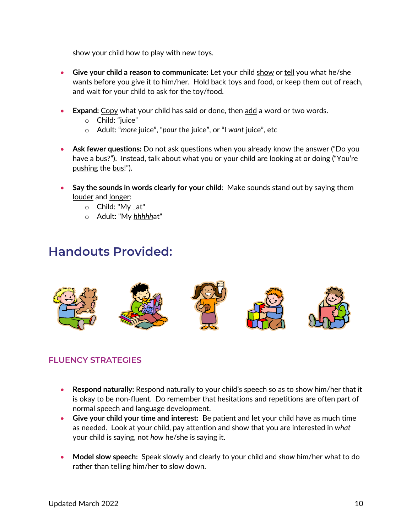show your child how to play with new toys.

- **Give your child a reason to communicate:** Let your child show or tell you what he/she wants before you give it to him/her. Hold back toys and food, or keep them out of reach, and wait for your child to ask for the toy/food.
- **Expand: Copy what your child has said or done, then add a word or two words.** 
	- o Child: "juice"
	- o Adult: "*more* juice", "*pour* the juice", or "I *want* juice", etc
- **Ask fewer questions:** Do not ask questions when you already know the answer ("Do you have a bus?"). Instead, talk about what you or your child are looking at or doing ("You're pushing the bus!").
- **Say the sounds in words clearly for your child**: Make sounds stand out by saying them louder and longer:
	- o Child: "My \_at"
	- o Adult: "My *hhhhh*at"

## **Handouts Provided:**



## **FLUENCY STRATEGIES**

- **Respond naturally:** Respond naturally to your child's speech so as to show him/her that it is okay to be non-fluent. Do remember that hesitations and repetitions are often part of normal speech and language development.
- **Give your child your time and interest:** Be patient and let your child have as much time as needed. Look at your child, pay attention and show that you are interested in *what* your child is saying, not *how* he/she is saying it.
- **Model slow speech:** Speak slowly and clearly to your child and *show* him/her what to do rather than telling him/her to slow down.